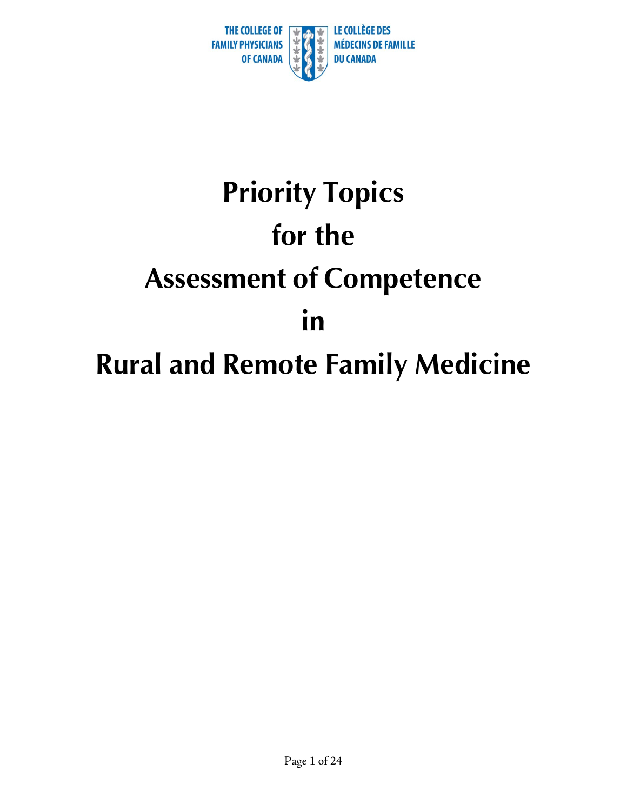

# **Priority Topics for the Assessment of Competence in Rural and Remote Family Medicine**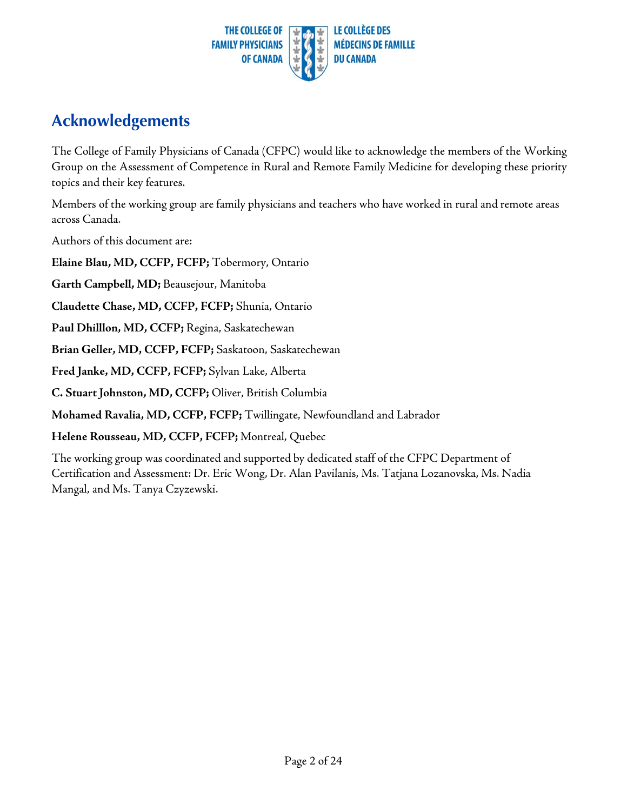

#### **Acknowledgements**

The College of Family Physicians of Canada (CFPC) would like to acknowledge the members of the Working Group on the Assessment of Competence in Rural and Remote Family Medicine for developing these priority topics and their key features.

Members of the working group are family physicians and teachers who have worked in rural and remote areas across Canada.

Authors of this document are:

**Elaine Blau, MD, CCFP, FCFP;** Tobermory, Ontario

**Garth Campbell, MD;** Beausejour, Manitoba

**Claudette Chase, MD, CCFP, FCFP;** Shunia, Ontario

**Paul Dhilllon, MD, CCFP;** Regina, Saskatechewan

**Brian Geller, MD, CCFP, FCFP;** Saskatoon, Saskatechewan

**Fred Janke, MD, CCFP, FCFP;** Sylvan Lake, Alberta

**C. Stuart Johnston, MD, CCFP;** Oliver, British Columbia

**Mohamed Ravalia, MD, CCFP, FCFP;** Twillingate, Newfoundland and Labrador

**Helene Rousseau, MD, CCFP, FCFP;** Montreal, Quebec

The working group was coordinated and supported by dedicated staff of the CFPC Department of Certification and Assessment: Dr. Eric Wong, Dr. Alan Pavilanis, Ms. Tatjana Lozanovska, Ms. Nadia Mangal, and Ms. Tanya Czyzewski.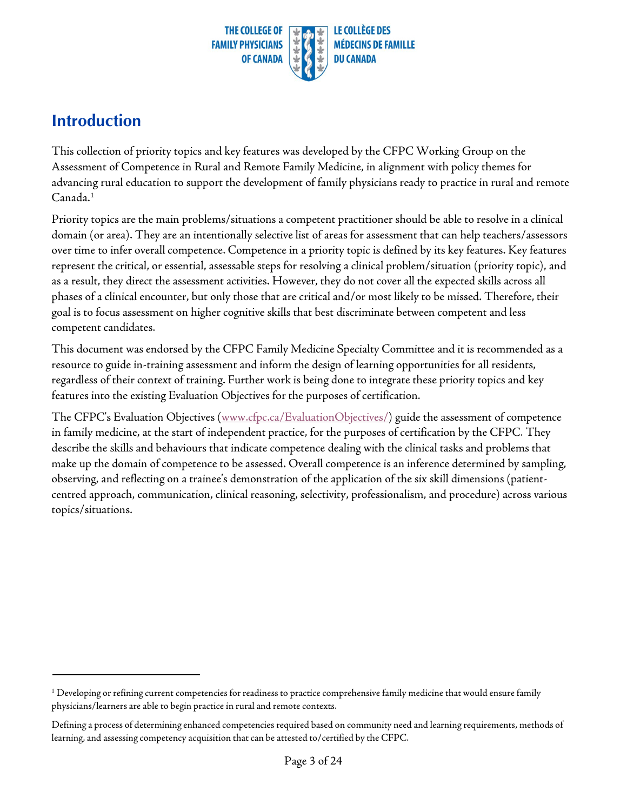

#### **Introduction**

This collection of priority topics and key features was developed by the CFPC Working Group on the Assessment of Competence in Rural and Remote Family Medicine, in alignment with policy themes for advancing rural education to support the development of family physicians ready to practice in rural and remote Canada.<sup>1</sup>

Priority topics are the main problems/situations a competent practitioner should be able to resolve in a clinical domain (or area). They are an intentionally selective list of areas for assessment that can help teachers/assessors over time to infer overall competence. Competence in a priority topic is defined by its key features. Key features represent the critical, or essential, assessable steps for resolving a clinical problem/situation (priority topic), and as a result, they direct the assessment activities. However, they do not cover all the expected skills across all phases of a clinical encounter, but only those that are critical and/or most likely to be missed. Therefore, their goal is to focus assessment on higher cognitive skills that best discriminate between competent and less competent candidates.

This document was endorsed by the CFPC Family Medicine Specialty Committee and it is recommended as a resource to guide in-training assessment and inform the design of learning opportunities for all residents, regardless of their context of training. Further work is being done to integrate these priority topics and key features into the existing Evaluation Objectives for the purposes of certification.

The CFPC's Evaluation Objectives [\(www.cfpc.ca/EvaluationObjectives/\)](http://www.cfpc.ca/EvaluationObjectives/) guide the assessment of competence in family medicine, at the start of independent practice, for the purposes of certification by the CFPC. They describe the skills and behaviours that indicate competence dealing with the clinical tasks and problems that make up the domain of competence to be assessed. Overall competence is an inference determined by sampling, observing, and reflecting on a trainee's demonstration of the application of the six skill dimensions (patientcentred approach, communication, clinical reasoning, selectivity, professionalism, and procedure) across various topics/situations.

<span id="page-2-0"></span> $1$  Developing or refining current competencies for readiness to practice comprehensive family medicine that would ensure family physicians/learners are able to begin practice in rural and remote contexts.

Defining a process of determining enhanced competencies required based on community need and learning requirements, methods of learning, and assessing competency acquisition that can be attested to/certified by the CFPC.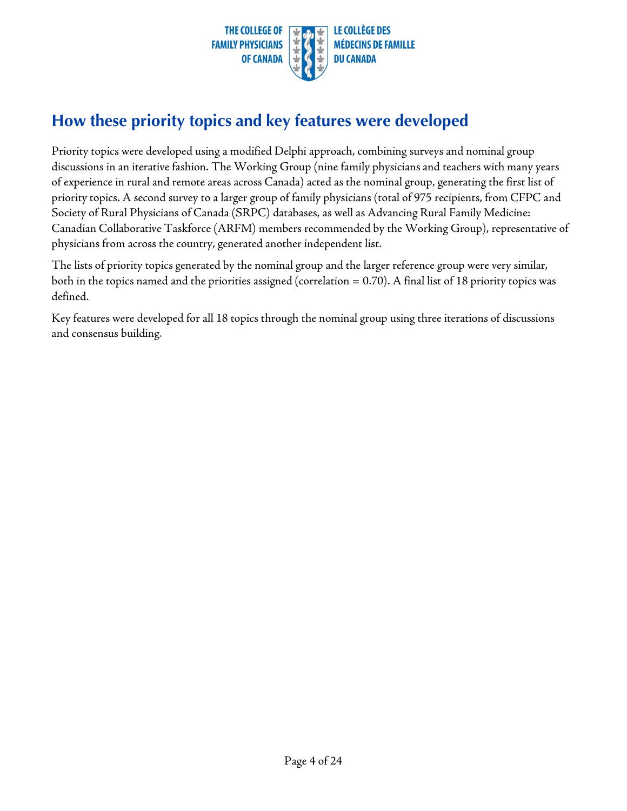

#### **How these priority topics and key features were developed**

Priority topics were developed using a modified Delphi approach, combining surveys and nominal group discussions in an iterative fashion. The Working Group (nine family physicians and teachers with many years of experience in rural and remote areas across Canada) acted as the nominal group, generating the first list of priority topics. A second survey to a larger group of family physicians (total of 975 recipients, from CFPC and Society of Rural Physicians of Canada (SRPC) databases, as well as Advancing Rural Family Medicine: Canadian Collaborative Taskforce (ARFM) members recommended by the Working Group), representative of physicians from across the country, generated another independent list.

The lists of priority topics generated by the nominal group and the larger reference group were very similar, both in the topics named and the priorities assigned (correlation  $= 0.70$ ). A final list of 18 priority topics was defined.

Key features were developed for all 18 topics through the nominal group using three iterations of discussions and consensus building.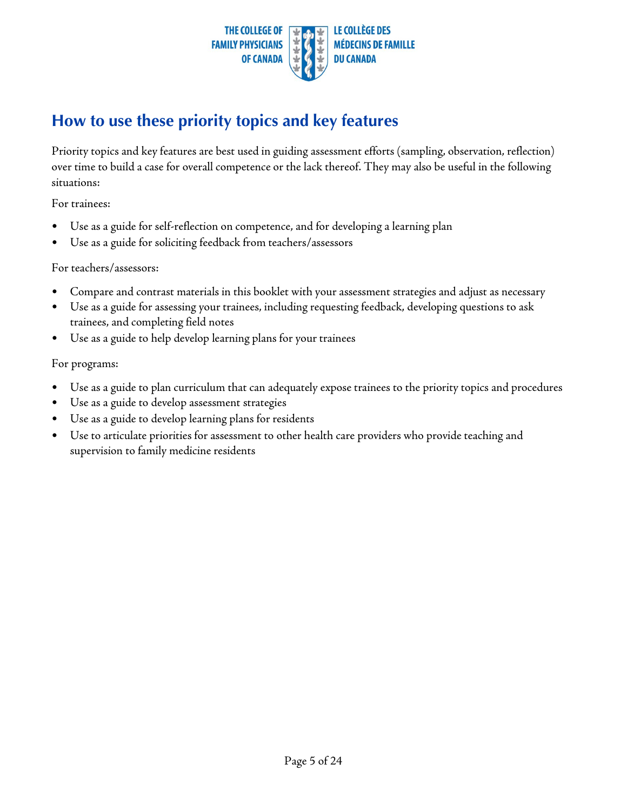

#### **How to use these priority topics and key features**

Priority topics and key features are best used in guiding assessment efforts (sampling, observation, reflection) over time to build a case for overall competence or the lack thereof. They may also be useful in the following situations:

For trainees:

- Use as a guide for self-reflection on competence, and for developing a learning plan
- Use as a guide for soliciting feedback from teachers/assessors

#### For teachers/assessors:

- Compare and contrast materials in this booklet with your assessment strategies and adjust as necessary
- Use as a guide for assessing your trainees, including requesting feedback, developing questions to ask trainees, and completing field notes
- Use as a guide to help develop learning plans for your trainees

For programs:

- Use as a guide to plan curriculum that can adequately expose trainees to the priority topics and procedures
- Use as a guide to develop assessment strategies
- Use as a guide to develop learning plans for residents
- Use to articulate priorities for assessment to other health care providers who provide teaching and supervision to family medicine residents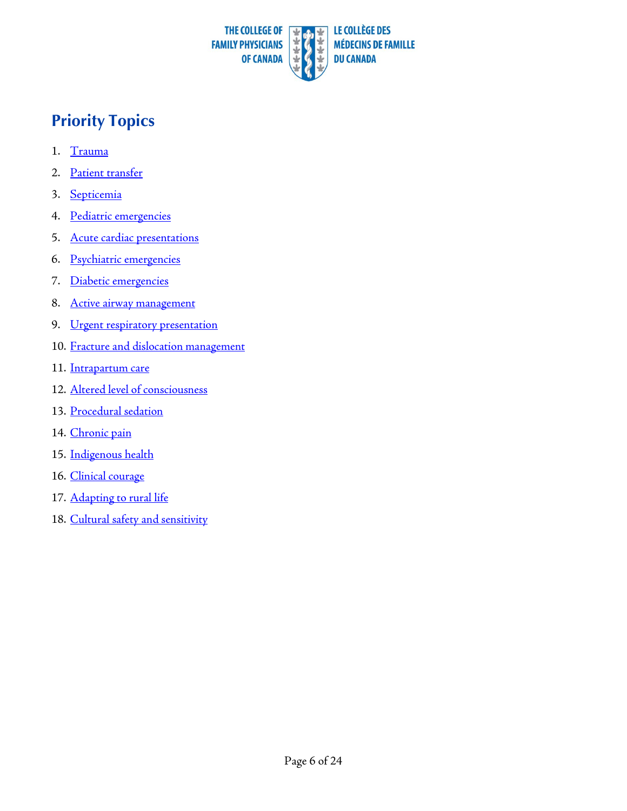

## **Priority Topics**

- 1. [Trauma](#page-6-0)
- 2. Patient [transfer](#page-7-0)
- 3. [Septicemia](#page-8-0)
- 4. Pediatric [emergencies](#page-9-0)
- 5. Acute cardiac [presentations](#page-10-0)
- 6. Psychiatric [emergencies](#page-11-0)
- 7. Diabetic [emergencies](#page-12-0)
- 8. Active airway [management](#page-13-0)
- 9. Urgent respiratory [presentation](#page-14-0)
- 10. [Fracture and dislocation](#page-15-0) management
- 11. [Intrapartum](#page-16-0) care
- 12. Altered level [of consciousness](#page-17-0)
- 13. [Procedural](#page-18-0) sedation
- 14. [Chronic pain](#page-19-0)
- 15. [Indigenous](#page-20-0) health
- 16. [Clinical](#page-21-0) courage
- 17. [Adapting to](#page-22-0) rural life
- 18. Cultural [safety and sensitivity](#page-23-0)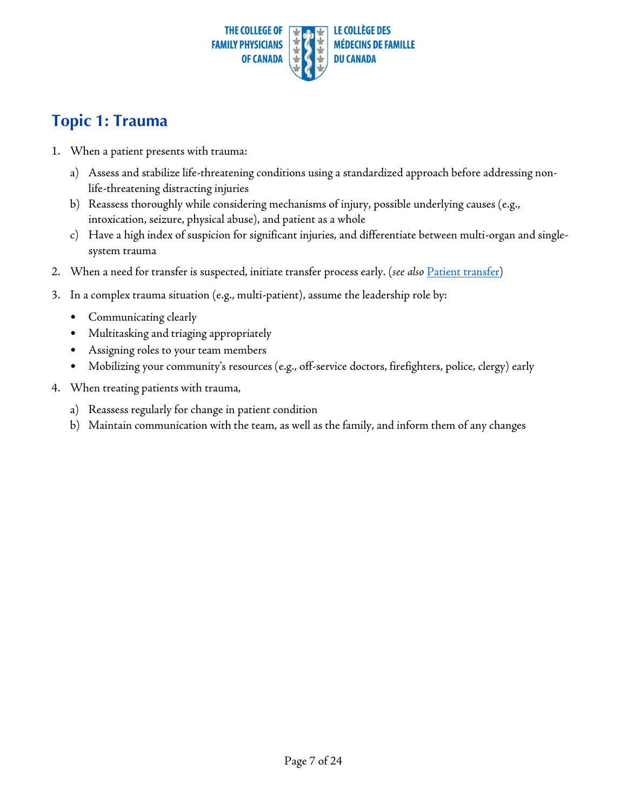

#### <span id="page-6-0"></span>**Topic 1: Trauma**

- 1. When a patient presents with trauma:
	- a) Assess and stabilize life-threatening conditions using a standardized approach before addressing nonlife-threatening distracting injuries
	- b) Reassess thoroughly while considering mechanisms of injury, possible underlying causes (e.g., intoxication, seizure, physical abuse), and patient as a whole
	- c) Have a high index of suspicion for significant injuries, and differentiate between multi-organ and singlesystem trauma
- 2. When a need for transfer is suspected, initiate transfer process early. (*see also* Patient [transfer\)](#page-7-1)
- 3. In a complex trauma situation (e.g., multi-patient), assume the leadership role by:
	- Communicating clearly
	- Multitasking and triaging appropriately
	- Assigning roles to your team members
	- Mobilizing your community's resources (e.g., off-service doctors, firefighters, police, clergy) early
- 4. When treating patients with trauma,
	- a) Reassess regularly for change in patient condition
	- b) Maintain communication with the team, as well as the family, and inform them of any changes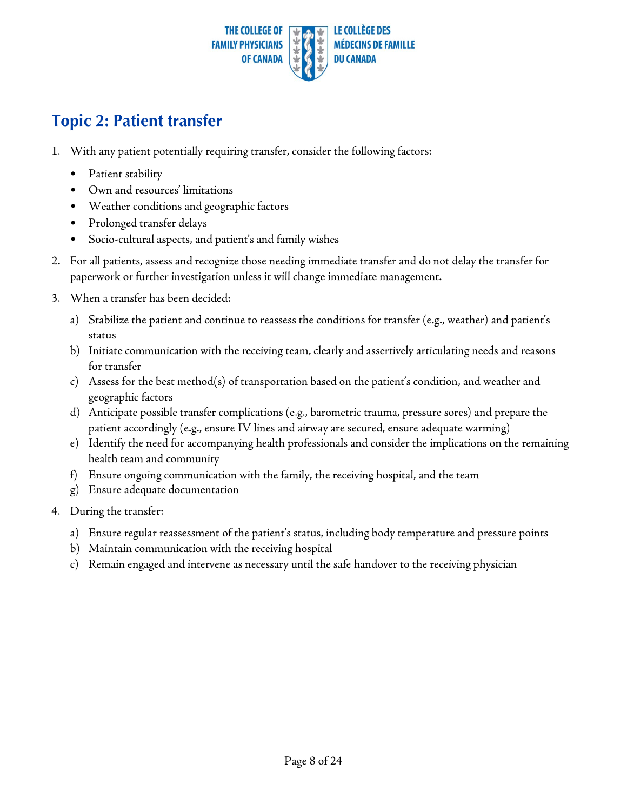

#### <span id="page-7-1"></span><span id="page-7-0"></span>**Topic 2: Patient transfer**

- 1. With any patient potentially requiring transfer, consider the following factors:
	- Patient stability
	- Own and resources' limitations
	- Weather conditions and geographic factors
	- Prolonged transfer delays
	- Socio-cultural aspects, and patient's and family wishes
- 2. For all patients, assess and recognize those needing immediate transfer and do not delay the transfer for paperwork or further investigation unless it will change immediate management.
- 3. When a transfer has been decided:
	- a) Stabilize the patient and continue to reassess the conditions for transfer (e.g., weather) and patient's status
	- b) Initiate communication with the receiving team, clearly and assertively articulating needs and reasons for transfer
	- c) Assess for the best method(s) of transportation based on the patient's condition, and weather and geographic factors
	- d) Anticipate possible transfer complications (e.g., barometric trauma, pressure sores) and prepare the patient accordingly (e.g., ensure IV lines and airway are secured, ensure adequate warming)
	- e) Identify the need for accompanying health professionals and consider the implications on the remaining health team and community
	- f) Ensure ongoing communication with the family, the receiving hospital, and the team
	- g) Ensure adequate documentation
- 4. During the transfer:
	- a) Ensure regular reassessment of the patient's status, including body temperature and pressure points
	- b) Maintain communication with the receiving hospital
	- c) Remain engaged and intervene as necessary until the safe handover to the receiving physician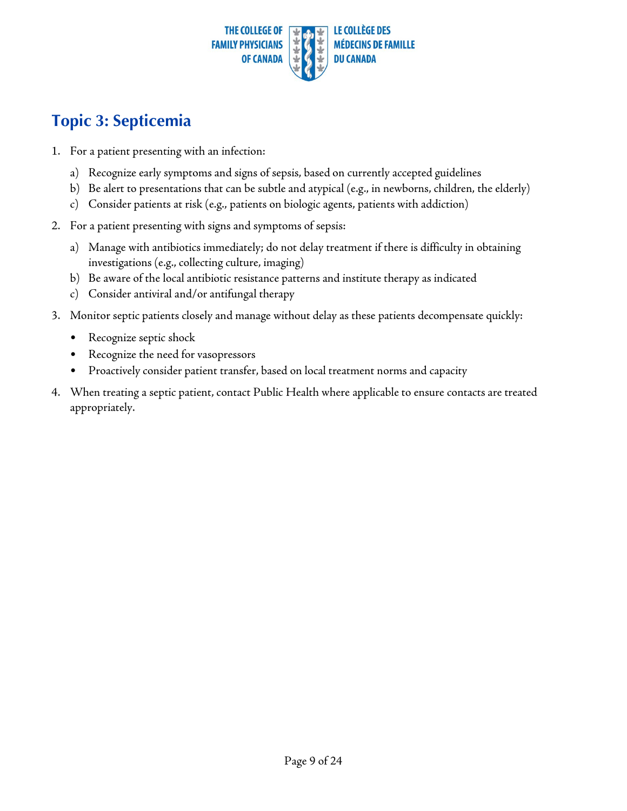

### <span id="page-8-0"></span>**Topic 3: Septicemia**

- 1. For a patient presenting with an infection:
	- a) Recognize early symptoms and signs of sepsis, based on currently accepted guidelines
	- b) Be alert to presentations that can be subtle and atypical (e.g., in newborns,children, the elderly)
	- c) Consider patients at risk (e.g., patients on biologic agents, patients with addiction)
- 2. For a patient presenting with signs and symptoms of sepsis:
	- a) Manage with antibiotics immediately; do not delay treatment if there is difficulty in obtaining investigations (e.g., collecting culture, imaging)
	- b) Be aware of the local antibiotic resistance patterns and institute therapy as indicated
	- c) Consider antiviral and/or antifungal therapy
- 3. Monitor septic patients closely and manage without delay as these patients decompensate quickly:
	- Recognize septic shock
	- Recognize the need for vasopressors
	- Proactively consider patient transfer, based on local treatment norms and capacity
- 4. When treating a septic patient, contact Public Health where applicable to ensure contacts are treated appropriately.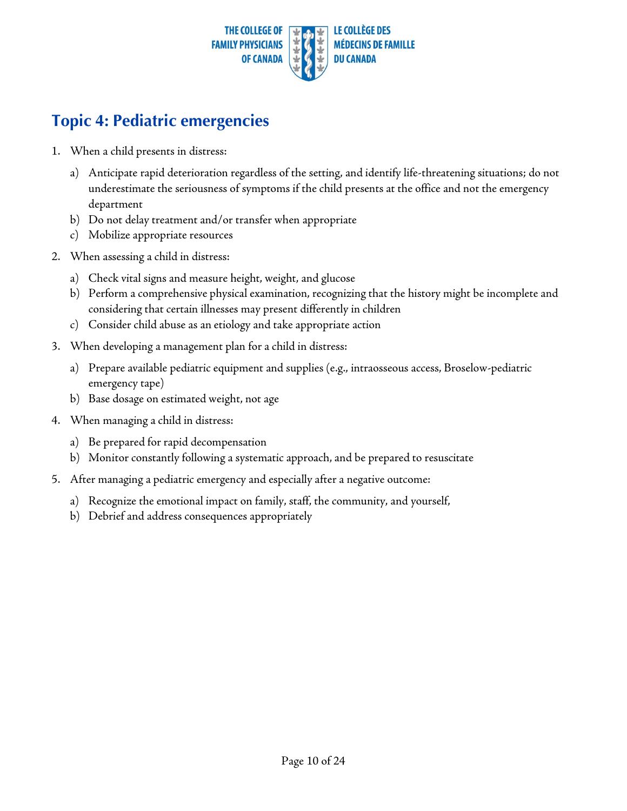

### <span id="page-9-0"></span>**Topic 4: Pediatric emergencies**

- 1. When a child presents in distress:
	- a) Anticipate rapid deterioration regardless of the setting, and identify life-threatening situations; do not underestimate the seriousness of symptoms if the child presents at the office and not the emergency department
	- b) Do not delay treatment and/or transfer when appropriate
	- c) Mobilize appropriate resources
- 2. When assessing a child in distress:
	- a) Check vital signs and measure height, weight, and glucose
	- b) Perform a comprehensive physical examination, recognizing that the history might be incomplete and considering that certain illnesses may present differently in children
	- c) Consider child abuse as an etiology and take appropriate action
- 3. When developing a management plan for a child in distress:
	- a) Prepare available pediatric equipment and supplies (e.g., intraosseous access, Broselow-pediatric emergency tape)
	- b) Base dosage on estimated weight, not age
- 4. When managing a child in distress:
	- a) Be prepared for rapid decompensation
	- b) Monitor constantly following a systematic approach, and be prepared to resuscitate
- 5. After managing a pediatric emergency and especially after a negative outcome:
	- a) Recognize the emotional impact on family, staff, the community, and yourself,
	- b) Debrief and address consequences appropriately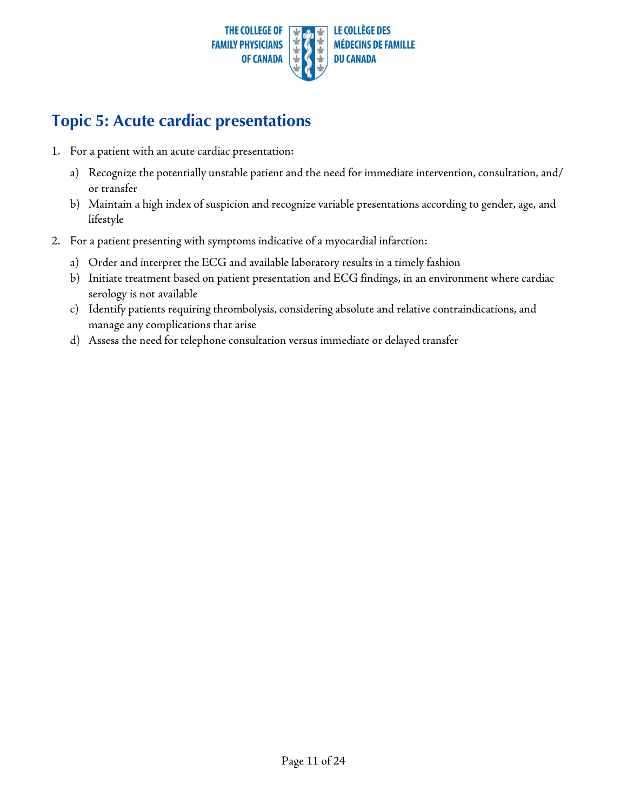

#### <span id="page-10-0"></span>**Topic 5: Acute cardiac presentations**

- 1. For a patient with an acute cardiac presentation:
	- a) Recognize the potentially unstable patient and the need for immediate intervention, consultation, and/ or transfer
	- b) Maintain a high index of suspicion and recognize variable presentations according to gender, age, and lifestyle
- 2. For a patient presenting with symptoms indicative of a myocardial infarction:
	- a) Order and interpret the ECG and available laboratory results in a timely fashion
	- b) Initiate treatment based on patient presentation and ECG findings, in an environment where cardiac serology is not available
	- c) Identify patients requiring thrombolysis, considering absolute and relative contraindications, and manage any complications that arise
	- d) Assess the need for telephone consultation versus immediate or delayed transfer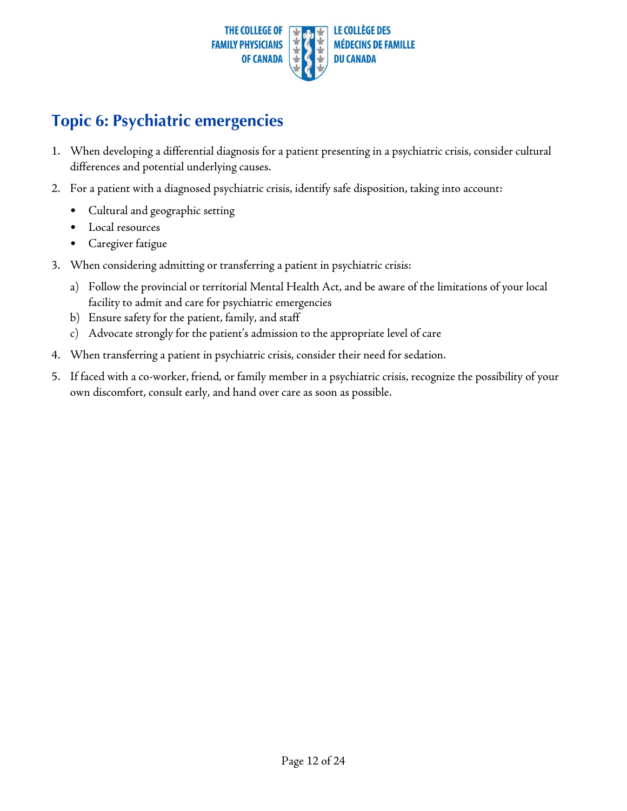

#### <span id="page-11-0"></span>**Topic 6: Psychiatric emergencies**

- 1. When developing a differential diagnosis for a patient presenting in a psychiatric crisis, consider cultural differences and potential underlying causes.
- 2. For a patient with a diagnosed psychiatric crisis, identify safe disposition, taking into account:
	- Cultural and geographic setting
	- Local resources
	- Caregiver fatigue
- 3. When considering admitting or transferring a patient in psychiatric crisis:
	- a) Follow the provincial or territorial Mental Health Act, and be aware of the limitations of your local facility to admit and care for psychiatric emergencies
	- b) Ensure safety for the patient, family, and staff
	- c) Advocate strongly for the patient's admission to the appropriate level of care
- 4. When transferring a patient in psychiatric crisis, consider their need for sedation.
- 5. If faced with a co-worker, friend, or family member in a psychiatric crisis, recognize the possibility of your own discomfort, consult early, and hand over care as soon as possible.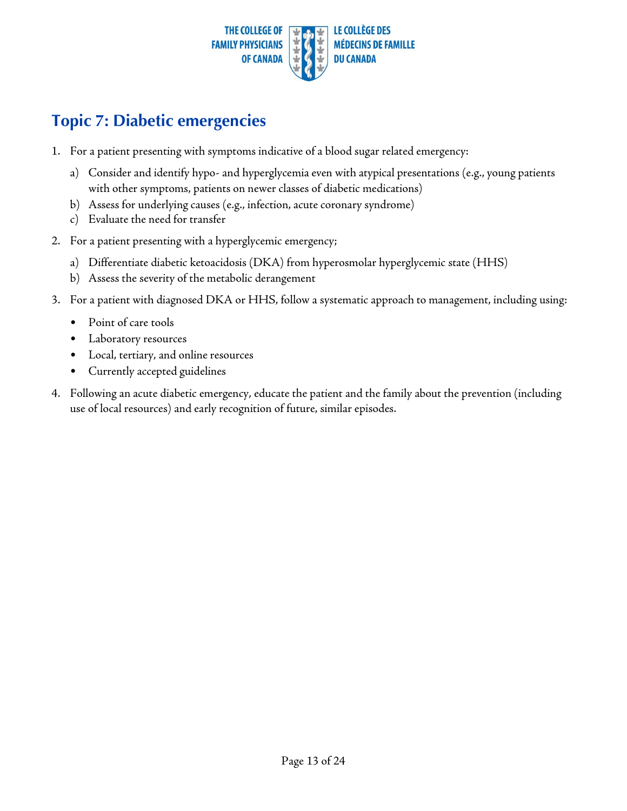

#### <span id="page-12-0"></span>**Topic 7: Diabetic emergencies**

- 1. For a patient presenting with symptoms indicative of a blood sugar related emergency:
	- a) Consider and identify hypo- and hyperglycemia even with atypical presentations (e.g., young patients with other symptoms, patients on newer classes of diabetic medications)
	- b) Assess for underlying causes (e.g., infection, acute coronary syndrome)
	- c) Evaluate the need for transfer
- 2. For a patient presenting with a hyperglycemic emergency;
	- a) Differentiate diabetic ketoacidosis (DKA) from hyperosmolar hyperglycemic state (HHS)
		- b) Assess the severity of the metabolic derangement
- 3. For a patient with diagnosed DKA or HHS, follow a systematic approach to management, including using:
	- Point of care tools
	- Laboratory resources
	- Local, tertiary, and online resources
	- Currently accepted guidelines
- 4. Following an acute diabetic emergency, educate the patient and the family about the prevention (including use of local resources) and early recognition of future, similar episodes.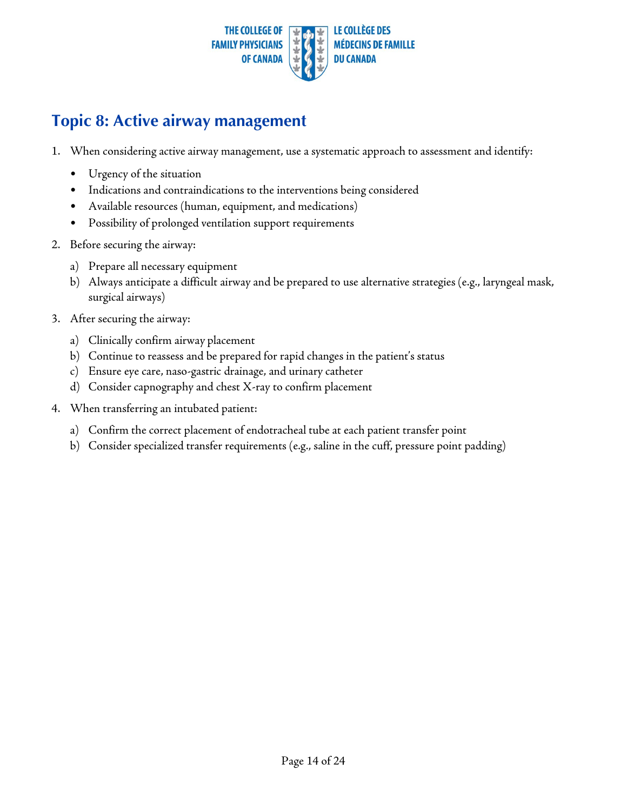

#### <span id="page-13-1"></span><span id="page-13-0"></span>**Topic 8: Active airway management**

- 1. When considering active airway management, use a systematic approach to assessment and identify:
	- Urgency of the situation
	- Indications and contraindications to the interventions being considered
	- Available resources (human, equipment, and medications)
	- Possibility of prolonged ventilation support requirements
- 2. Before securing the airway:
	- a) Prepare all necessary equipment
	- b) Always anticipate a difficult airway and be prepared to use alternative strategies (e.g., laryngeal mask, surgical airways)
- 3. After securing the airway:
	- a) Clinically confirm airway placement
	- b) Continue to reassess and be prepared for rapid changes in the patient's status
	- c) Ensure eye care, naso-gastric drainage, and urinary catheter
	- d) Consider capnography and chest X-ray to confirm placement
- 4. When transferring an intubated patient:
	- a) Confirm the correct placement of endotracheal tube at each patient transfer point
	- b) Consider specialized transfer requirements (e.g., saline in the cuff, pressure point padding)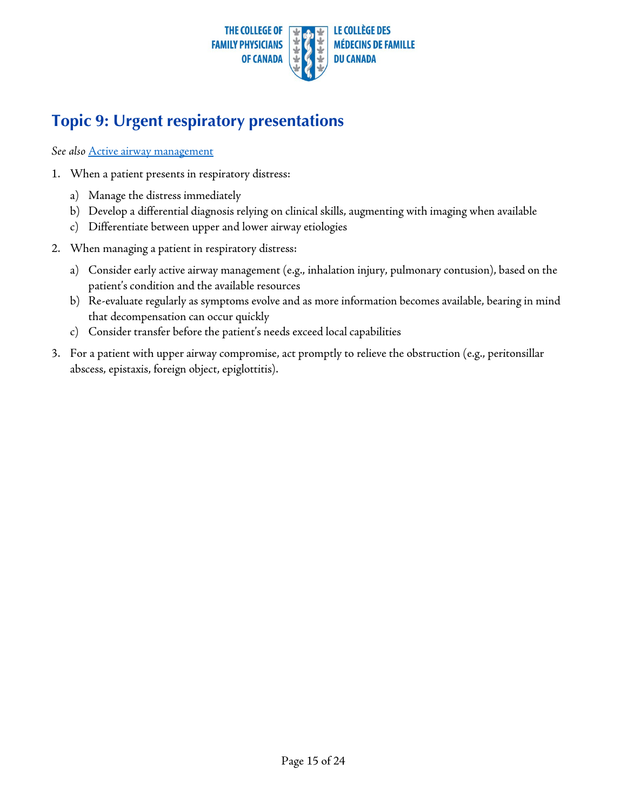

## <span id="page-14-0"></span>**Topic 9: Urgent respiratory presentations**

*See also* Active airway [management](#page-13-1)

- 1. When a patient presents in respiratory distress:
	- a) Manage the distress immediately
	- b) Develop a differential diagnosis relying on clinical skills, augmenting with imaging when available
	- c) Differentiate between upper and lower airway etiologies
- 2. When managing a patient in respiratory distress:
	- a) Consider early active airway management (e.g., inhalation injury, pulmonary contusion), based on the patient's condition and the available resources
	- b) Re-evaluate regularly as symptoms evolve and as more information becomes available, bearing in mind that decompensation can occur quickly
	- c) Consider transfer before the patient's needs exceed local capabilities
- 3. For a patient with upper airway compromise, act promptly to relieve the obstruction (e.g., peritonsillar abscess, epistaxis, foreign object, epiglottitis).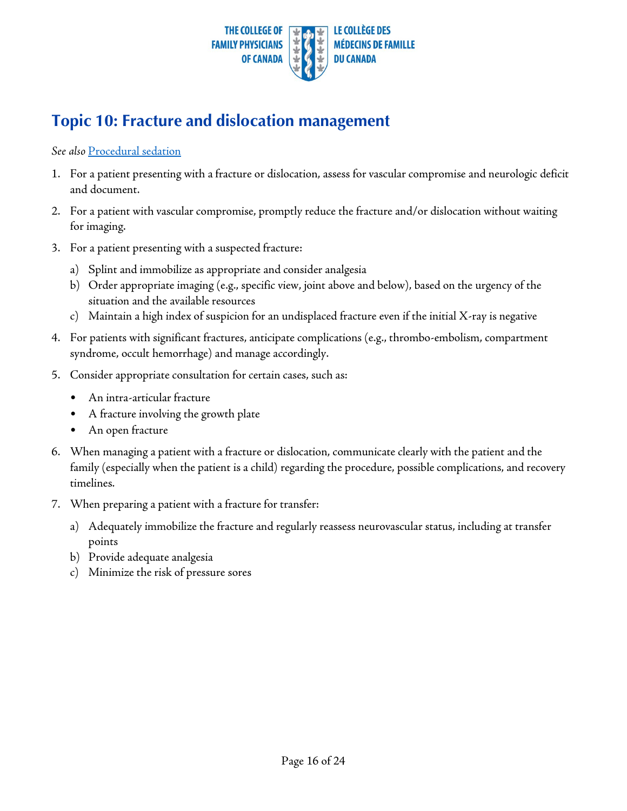

#### <span id="page-15-0"></span>**Topic 10: Fracture and dislocation management**

#### *See also* [Procedural](#page-18-1) sedation

- 1. For a patient presenting with a fracture or dislocation, assess for vascular compromise and neurologic deficit and document.
- 2. For a patient with vascular compromise, promptly reduce the fracture and/or dislocation without waiting for imaging.
- 3. For a patient presenting with a suspected fracture:
	- a) Splint and immobilize as appropriate and consider analgesia
	- b) Order appropriate imaging (e.g., specific view, joint above and below), based on the urgency of the situation and the available resources
	- c) Maintain a high index of suspicion for an undisplaced fracture even if the initial X-ray is negative
- 4. For patients with significant fractures, anticipate complications (e.g., thrombo-embolism, compartment syndrome, occult hemorrhage) and manage accordingly.
- 5. Consider appropriate consultation for certain cases, such as:
	- An intra-articular fracture
	- A fracture involving the growth plate
	- An open fracture
- 6. When managing a patient with a fracture or dislocation, communicate clearly with the patient and the family (especially when the patient is a child) regarding the procedure, possible complications, and recovery timelines.
- 7. When preparing a patient with a fracture for transfer:
	- a) Adequately immobilize the fracture and regularly reassess neurovascular status, including at transfer points
	- b) Provide adequate analgesia
	- c) Minimize the risk of pressure sores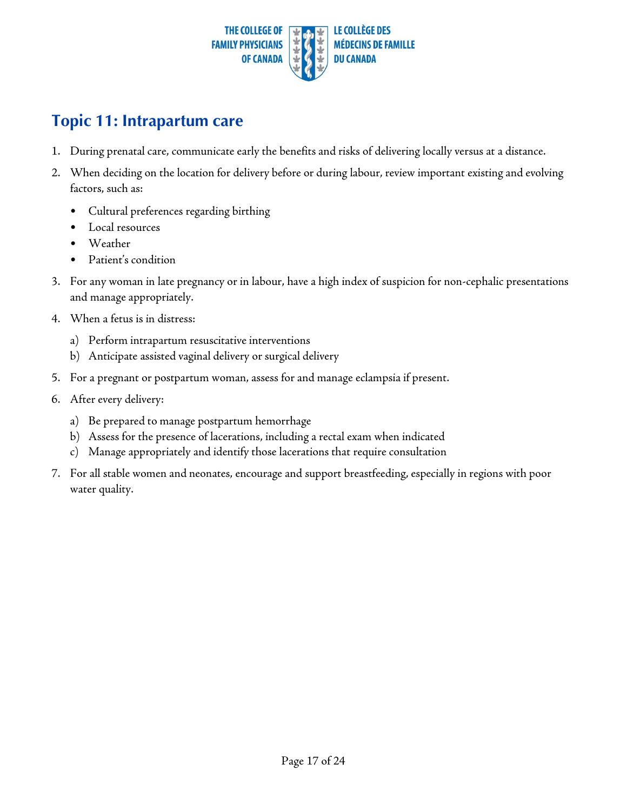

#### <span id="page-16-0"></span>**Topic 11: Intrapartum care**

- 1. During prenatal care, communicate early the benefits and risks of delivering locally versus at a distance.
- 2. When deciding on the location for delivery before or during labour, review important existing and evolving factors, such as:
	- Cultural preferences regarding birthing
	- Local resources
	- Weather
	- Patient's condition
- 3. For any woman in late pregnancy or in labour, have a high index of suspicion for non-cephalic presentations and manage appropriately.
- 4. When a fetus is in distress:
	- a) Perform intrapartum resuscitative interventions
	- b) Anticipate assisted vaginal delivery or surgical delivery
- 5. For a pregnant or postpartum woman, assess for and manage eclampsia if present.
- 6. After every delivery:
	- a) Be prepared to manage postpartum hemorrhage
	- b) Assess for the presence of lacerations, including a rectal exam when indicated
	- c) Manage appropriately and identify those lacerations that require consultation
- 7. For all stable women and neonates, encourage and support breastfeeding, especially in regions with poor water quality.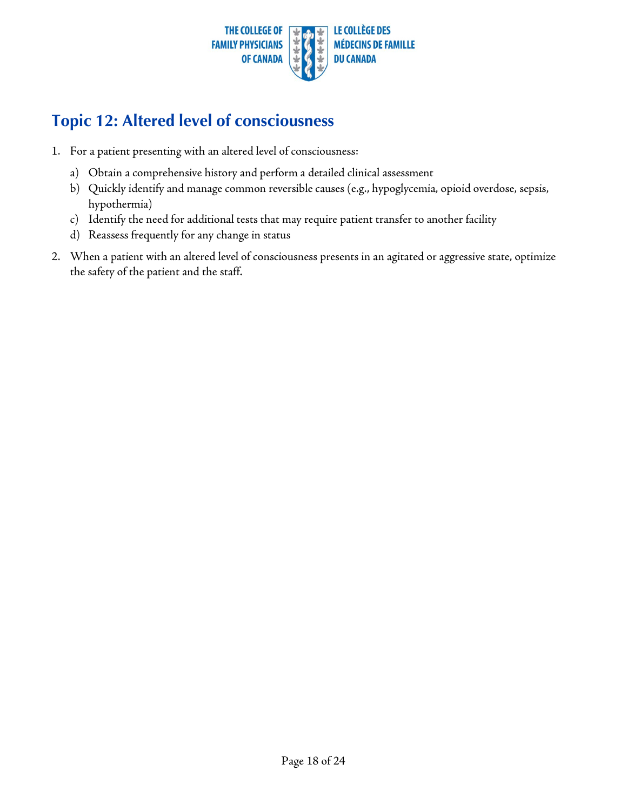

#### <span id="page-17-0"></span>**Topic 12: Altered level of consciousness**

- 1. For a patient presenting with an altered level of consciousness:
	- a) Obtain a comprehensive history and perform a detailed clinical assessment
	- b) Quickly identify and manage common reversible causes (e.g., hypoglycemia, opioid overdose, sepsis, hypothermia)
	- c) Identify the need for additional tests that may require patient transfer to another facility
	- d) Reassess frequently for any change in status
- 2. When a patient with an altered level of consciousness presents in an agitated or aggressive state, optimize the safety of the patient and the staff.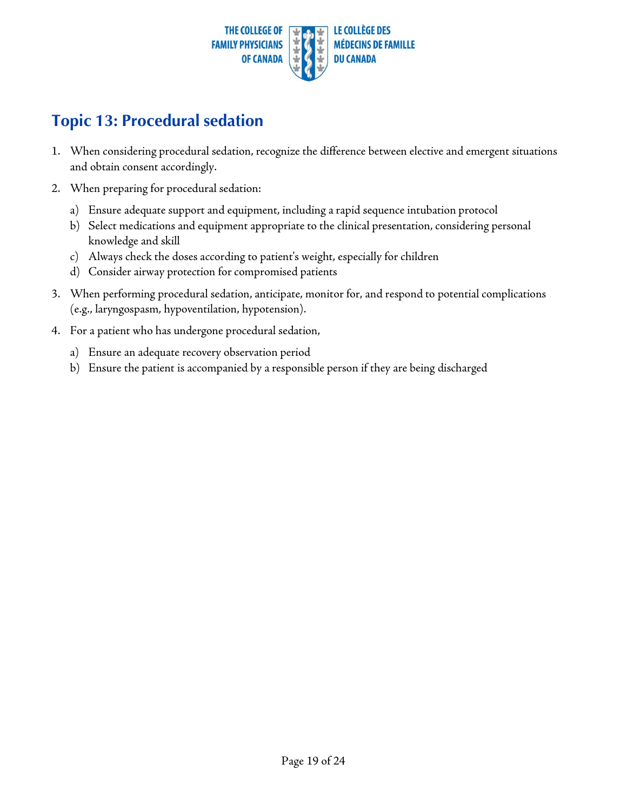

#### <span id="page-18-1"></span><span id="page-18-0"></span>**Topic 13: Procedural sedation**

- 1. When considering procedural sedation, recognize the difference between elective and emergent situations and obtain consent accordingly.
- 2. When preparing for procedural sedation:
	- a) Ensure adequate support and equipment, including a rapid sequence intubation protocol
	- b) Select medications and equipment appropriate to the clinical presentation, considering personal knowledge and skill
	- c) Always check the doses according to patient's weight, especially for children
	- d) Consider airway protection for compromised patients
- 3. When performing procedural sedation, anticipate, monitor for, and respond to potential complications (e.g., laryngospasm, hypoventilation, hypotension).
- 4. For a patient who has undergone procedural sedation,
	- a) Ensure an adequate recovery observation period
	- b) Ensure the patient is accompanied by a responsible person if they are being discharged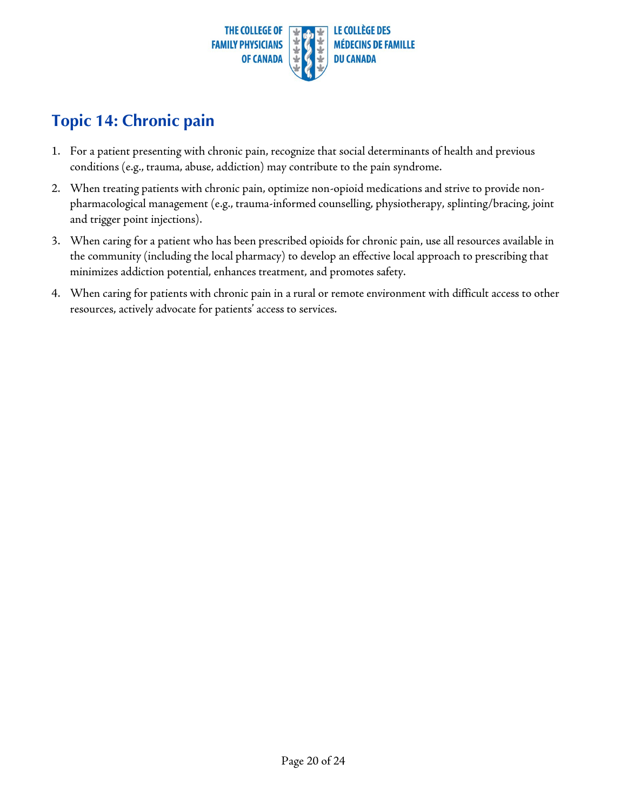

### <span id="page-19-0"></span>**Topic 14: Chronic pain**

- 1. For a patient presenting with chronic pain, recognize that social determinants of health and previous conditions (e.g., trauma, abuse, addiction) may contribute to the pain syndrome.
- 2. When treating patients with chronic pain, optimize non-opioid medications and strive to provide nonpharmacological management (e.g., trauma-informed counselling, physiotherapy, splinting/bracing, joint and trigger point injections).
- 3. When caring for a patient who has been prescribed opioids for chronic pain, use all resources available in the community (including the local pharmacy) to develop an effective local approach to prescribing that minimizes addiction potential, enhances treatment, and promotes safety.
- 4. When caring for patients with chronic pain in a rural or remote environment with difficult access to other resources, actively advocate for patients' access to services.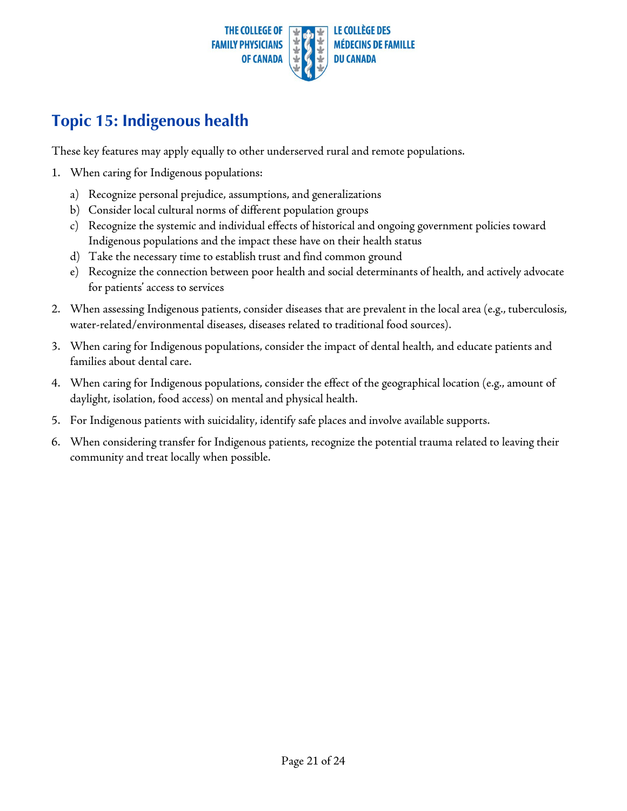

### <span id="page-20-0"></span>**Topic 15: Indigenous health**

These key features may apply equally to other underserved rural and remote populations.

- 1. When caring for Indigenous populations:
	- a) Recognize personal prejudice, assumptions, and generalizations
	- b) Consider local cultural norms of different population groups
	- c) Recognize the systemic and individual effects of historical and ongoing government policies toward Indigenous populations and the impact these have on their health status
	- d) Take the necessary time to establish trust and find common ground
	- e) Recognize the connection between poor health and social determinants of health, and actively advocate for patients' access to services
- 2. When assessing Indigenous patients, consider diseases that are prevalent in the local area (e.g., tuberculosis, water-related/environmental diseases, diseases related to traditional food sources).
- 3. When caring for Indigenous populations, consider the impact of dental health, and educate patients and families about dental care.
- 4. When caring for Indigenous populations, consider the effect of the geographical location (e.g., amount of daylight, isolation, food access) on mental and physical health.
- 5. For Indigenous patients with suicidality, identify safe places and involve available supports.
- 6. When considering transfer for Indigenous patients, recognize the potential trauma related to leaving their community and treat locally when possible.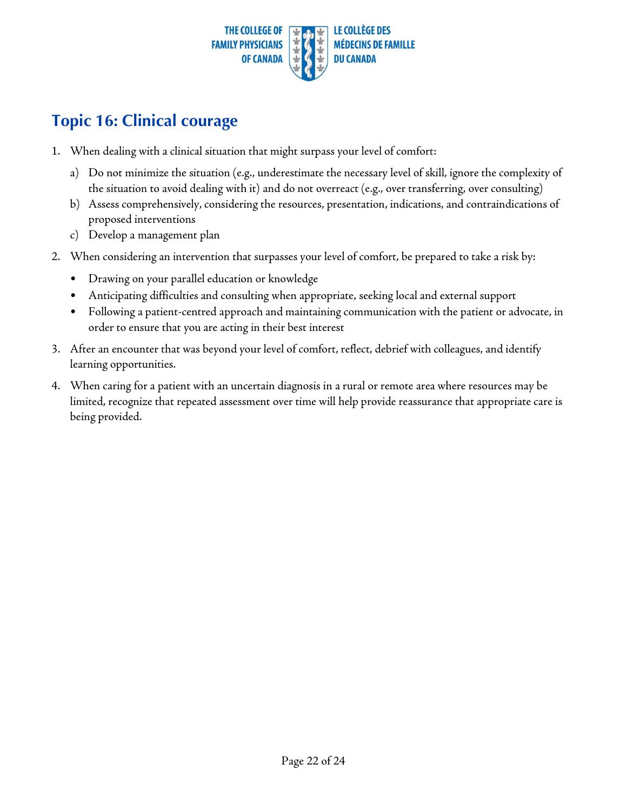

#### <span id="page-21-0"></span>**Topic 16: Clinical courage**

- 1. When dealing with a clinical situation that might surpass your level of comfort:
	- a) Do not minimize the situation (e.g., underestimate the necessary level of skill, ignore the complexity of the situation to avoid dealing with it) and do not overreact (e.g., over transferring, over consulting)
	- b) Assess comprehensively, considering the resources, presentation, indications, and contraindications of proposed interventions
	- c) Develop a management plan
- 2. When considering an intervention that surpasses your level of comfort, be prepared to take a risk by:
	- Drawing on your parallel education or knowledge
	- Anticipating difficulties and consulting when appropriate, seeking local and external support
	- Following a patient-centred approach and maintaining communication with the patient or advocate, in order to ensure that you are acting in their best interest
- 3. After an encounter that was beyond your level of comfort, reflect, debrief with colleagues, and identify learning opportunities.
- 4. When caring for a patient with an uncertain diagnosis in a rural or remote area where resources may be limited, recognize that repeated assessment over time will help provide reassurance that appropriate care is being provided.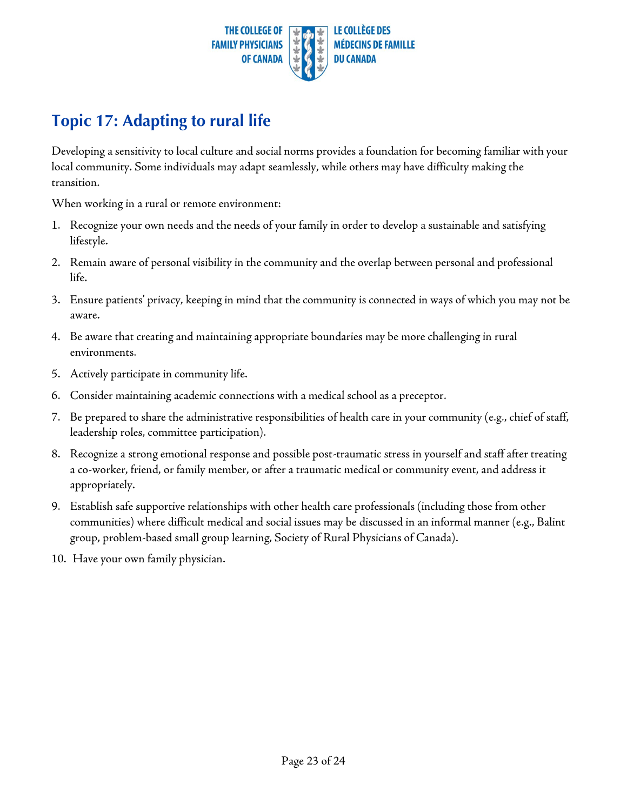

## <span id="page-22-0"></span>**Topic 17: Adapting to rural life**

Developing a sensitivity to local culture and social norms provides a foundation for becoming familiar with your local community. Some individuals may adapt seamlessly, while others may have difficulty making the transition.

When working in a rural or remote environment:

- 1. Recognize your own needs and the needs of your family in order to develop a sustainable and satisfying lifestyle.
- 2. Remain aware of personal visibility in the community and the overlap between personal and professional life.
- 3. Ensure patients' privacy, keeping in mind that the community is connected in ways of which you may not be aware.
- 4. Be aware that creating and maintaining appropriate boundaries may be more challenging in rural environments.
- 5. Actively participate in community life.
- 6. Consider maintaining academic connections with a medical school as a preceptor.
- 7. Be prepared to share the administrative responsibilities of health care in your community (e.g., chief of staff, leadership roles, committee participation).
- 8. Recognize a strong emotional response and possible post-traumatic stress in yourself and staff after treating a co-worker, friend, or family member, or after a traumatic medical or community event, and address it appropriately.
- 9. Establish safe supportive relationships with other health care professionals (including those from other communities) where difficult medical and social issues may be discussed in an informal manner (e.g., Balint group, problem-based small group learning, Society of Rural Physicians of Canada).
- 10. Have your own family physician.